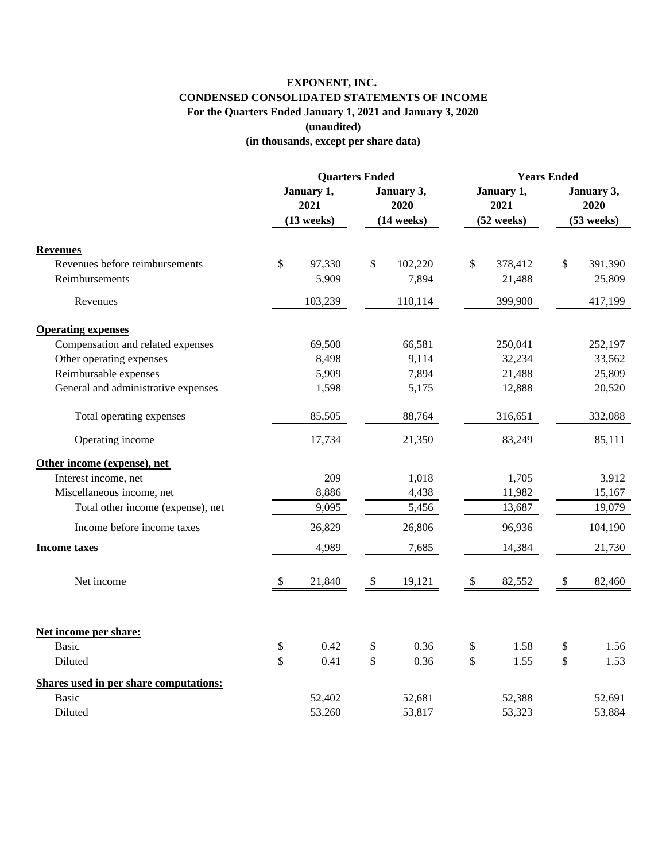## **EXPONENT, INC. CONDENSED CONSOLIDATED STATEMENTS OF INCOME For the Quarters Ended January 1, 2021 and January 3, 2020 (unaudited)**

**(in thousands, except per share data)**

|                                               | <b>Quarters Ended</b>     |              |                           | <b>Years Ended</b>   |                           |                    |                           |                      |
|-----------------------------------------------|---------------------------|--------------|---------------------------|----------------------|---------------------------|--------------------|---------------------------|----------------------|
|                                               | January 1,<br>2021        |              | January 3,                |                      | January 1,                |                    | January 3,                |                      |
|                                               |                           |              |                           | 2020<br>$(14$ weeks) |                           | 2021<br>(52 weeks) |                           | 2020<br>$(53$ weeks) |
|                                               |                           | $(13$ weeks) |                           |                      |                           |                    |                           |                      |
| <b>Revenues</b>                               |                           |              |                           |                      |                           |                    |                           |                      |
| Revenues before reimbursements                | \$                        | 97,330       | \$                        | 102,220              | \$                        | 378,412            | \$                        | 391,390              |
| Reimbursements                                |                           | 5,909        |                           | 7,894                |                           | 21,488             |                           | 25,809               |
| Revenues                                      |                           | 103,239      |                           | 110,114              |                           | 399,900            |                           | 417,199              |
| <b>Operating expenses</b>                     |                           |              |                           |                      |                           |                    |                           |                      |
| Compensation and related expenses             |                           | 69,500       |                           | 66,581               |                           | 250,041            |                           | 252,197              |
| Other operating expenses                      |                           | 8,498        |                           | 9,114                |                           | 32,234             |                           | 33,562               |
| Reimbursable expenses                         |                           | 5,909        |                           | 7,894                |                           | 21,488             |                           | 25,809               |
| General and administrative expenses           |                           | 1,598        |                           | 5,175                |                           | 12,888             |                           | 20,520               |
| Total operating expenses                      |                           | 85,505       |                           | 88,764               |                           | 316,651            |                           | 332,088              |
| Operating income                              |                           | 17,734       |                           | 21,350               |                           | 83,249             |                           | 85,111               |
| Other income (expense), net                   |                           |              |                           |                      |                           |                    |                           |                      |
| Interest income, net                          |                           | 209          |                           | 1,018                |                           | 1,705              |                           | 3,912                |
| Miscellaneous income, net                     |                           | 8,886        |                           | 4,438                |                           | 11,982             |                           | 15,167               |
| Total other income (expense), net             |                           | 9,095        |                           | 5,456                |                           | 13,687             |                           | 19,079               |
| Income before income taxes                    |                           | 26,829       |                           | 26,806               |                           | 96,936             |                           | 104,190              |
| <b>Income taxes</b>                           |                           | 4,989        |                           | 7,685                |                           | 14,384             |                           | 21,730               |
| Net income                                    | $\boldsymbol{\mathsf{S}}$ | 21,840       | $\boldsymbol{\mathsf{S}}$ | 19,121               | $\boldsymbol{\mathsf{S}}$ | 82,552             | $\boldsymbol{\mathsf{S}}$ | 82,460               |
| Net income per share:                         |                           |              |                           |                      |                           |                    |                           |                      |
| <b>Basic</b>                                  | \$                        | 0.42         | \$                        | 0.36                 | \$                        | 1.58               | \$                        | 1.56                 |
| Diluted                                       | $\mathbf{\hat{S}}$        | 0.41         | \$                        | 0.36                 | \$                        | 1.55               | \$                        | 1.53                 |
| <b>Shares used in per share computations:</b> |                           |              |                           |                      |                           |                    |                           |                      |
| <b>Basic</b>                                  |                           | 52,402       |                           | 52,681               |                           | 52,388             |                           | 52,691               |
| Diluted                                       |                           | 53,260       |                           | 53,817               |                           | 53,323             |                           | 53,884               |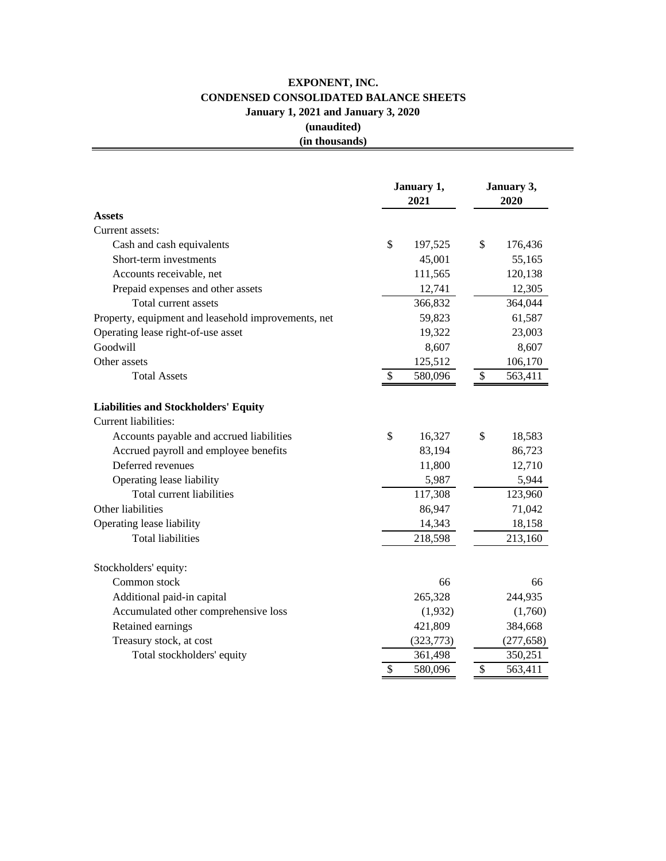## **EXPONENT, INC. CONDENSED CONSOLIDATED BALANCE SHEETS January 1, 2021 and January 3, 2020 (unaudited)**

## **(in thousands)**

|                                                                     | January 1,<br>2021       |            | January 3,<br>2020        |            |  |
|---------------------------------------------------------------------|--------------------------|------------|---------------------------|------------|--|
| <b>Assets</b>                                                       |                          |            |                           |            |  |
| Current assets:                                                     |                          |            |                           |            |  |
| Cash and cash equivalents                                           | \$                       | 197,525    | \$                        | 176,436    |  |
| Short-term investments                                              |                          | 45,001     |                           | 55,165     |  |
| Accounts receivable, net                                            |                          | 111,565    |                           | 120,138    |  |
| Prepaid expenses and other assets                                   |                          | 12,741     |                           | 12,305     |  |
| Total current assets                                                |                          | 366,832    |                           | 364,044    |  |
| Property, equipment and leasehold improvements, net                 |                          | 59,823     |                           | 61,587     |  |
| Operating lease right-of-use asset                                  |                          | 19,322     |                           | 23,003     |  |
| Goodwill                                                            |                          | 8,607      |                           | 8,607      |  |
| Other assets                                                        |                          | 125,512    |                           | 106,170    |  |
| <b>Total Assets</b>                                                 | \$                       | 580,096    | \$                        | 563,411    |  |
| <b>Liabilities and Stockholders' Equity</b><br>Current liabilities: |                          |            |                           |            |  |
| Accounts payable and accrued liabilities                            | \$                       | 16,327     | \$                        | 18,583     |  |
| Accrued payroll and employee benefits                               |                          | 83,194     |                           | 86,723     |  |
| Deferred revenues                                                   |                          | 11,800     |                           | 12,710     |  |
| Operating lease liability                                           |                          | 5,987      |                           | 5,944      |  |
| Total current liabilities                                           |                          | 117,308    |                           | 123,960    |  |
| Other liabilities                                                   |                          | 86,947     |                           | 71,042     |  |
| Operating lease liability                                           |                          | 14,343     |                           | 18,158     |  |
| <b>Total liabilities</b>                                            |                          | 218,598    |                           | 213,160    |  |
| Stockholders' equity:                                               |                          |            |                           |            |  |
| Common stock                                                        |                          | 66         |                           | 66         |  |
| Additional paid-in capital                                          |                          | 265,328    |                           | 244,935    |  |
| Accumulated other comprehensive loss                                |                          | (1,932)    |                           | (1,760)    |  |
| Retained earnings                                                   |                          | 421,809    |                           | 384,668    |  |
| Treasury stock, at cost                                             |                          | (323, 773) |                           | (277, 658) |  |
| Total stockholders' equity                                          |                          | 361,498    |                           | 350,251    |  |
|                                                                     | $\overline{\mathcal{S}}$ | 580,096    | $\boldsymbol{\mathsf{S}}$ | 563,411    |  |